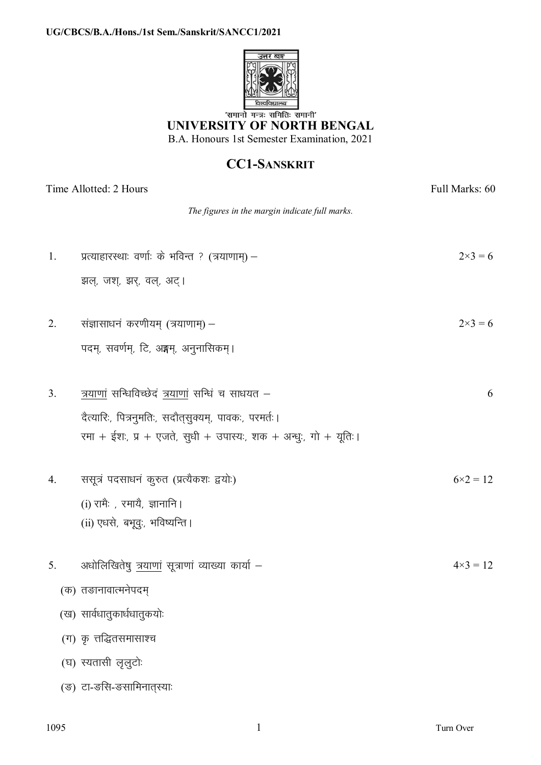

'समानो मन्त्रः समितिः समानी' UNIVERSITY OF NORTH BENGAL B.A. Honours 1st Semester Examination, 2021

## **CC1-SANSKRIT**

| Time Allotted: 2 Hours |                                                                  | Full Marks: 60    |
|------------------------|------------------------------------------------------------------|-------------------|
|                        | The figures in the margin indicate full marks.                   |                   |
| 1.                     | प्रत्याहारस्थाः वर्णाः के भविन्त ? (त्रयाणाम्) –                 | $2 \times 3 = 6$  |
|                        | झल्, जश्, झर्, वल्, अट्।                                         |                   |
| 2.                     | संज्ञासाधनं करणीयम् (त्रयाणाम्) –                                | $2 \times 3 = 6$  |
|                        | पदम्, सवर्णम्, टि, अङ्गम्, अनुनासिकम्।                           |                   |
| 3 <sub>1</sub>         | त्रयाणां सन्धिविच्छेदं त्रयाणां सन्धिं च साधयत –                 | 6                 |
|                        | दैत्यारिः, पित्रनुमतिः, सदौत्सुक्यम्, पावकः, परमर्तः।            |                   |
|                        | रमा + ईशः, प्र + एजते, सुधी + उपास्यः, शक + अन्धुः, गो + यूतिः । |                   |
| 4.                     | ससूत्रं पदसाधनं कुरुत (प्रत्यैकशः द्वयोः)                        | $6 \times 2 = 12$ |
|                        | (i) रामैः , रमायै, ज्ञानानि ।                                    |                   |
|                        | (ii) एधसे, बभूवु:, भविष्यन्ति ।                                  |                   |
| 5.                     | अधोलिखितेषु त्रयाणां सूत्राणां व्याख्या कार्या –                 | $4 \times 3 = 12$ |
|                        | (क) तङानावात्मनेपदम्                                             |                   |
|                        | (ख) सार्वधातुकार्धधातुकयोः                                       |                   |
|                        | (ग) कृ त्तद्धितसमासाश्च                                          |                   |
|                        | (घ) स्यतासी लृलुटोः                                              |                   |
|                        | (ङ) टा-ङसि-ङसामिनात्स्याः                                        |                   |